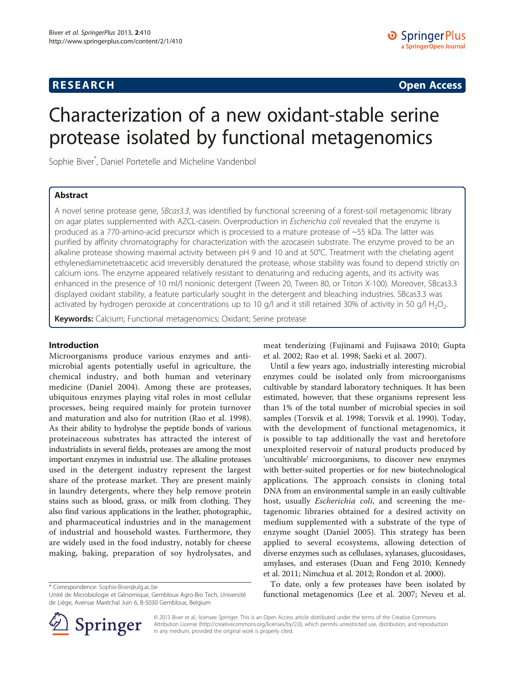## **RESEARCH RESEARCH CONSUMING ACCESS**

# Characterization of a new oxidant-stable serine protease isolated by functional metagenomics

Sophie Biver\* , Daniel Portetelle and Micheline Vandenbol

## Abstract

A novel serine protease gene, SBcas3.3, was identified by functional screening of a forest-soil metagenomic library on agar plates supplemented with AZCL-casein. Overproduction in Escherichia coli revealed that the enzyme is produced as a 770-amino-acid precursor which is processed to a mature protease of ~55 kDa. The latter was purified by affinity chromatography for characterization with the azocasein substrate. The enzyme proved to be an alkaline protease showing maximal activity between pH 9 and 10 and at 50°C. Treatment with the chelating agent ethylenediaminetetraacetic acid irreversibly denatured the protease, whose stability was found to depend strictly on calcium ions. The enzyme appeared relatively resistant to denaturing and reducing agents, and its activity was enhanced in the presence of 10 ml/l nonionic detergent (Tween 20, Tween 80, or Triton X-100). Moreover, SBcas3.3 displayed oxidant stability, a feature particularly sought in the detergent and bleaching industries. SBcas3.3 was activated by hydrogen peroxide at concentrations up to 10 g/l and it still retained 30% of activity in 50 g/l H<sub>2</sub>O<sub>2</sub>.

Keywords: Calcium; Functional metagenomics; Oxidant; Serine protease

#### Introduction

Microorganisms produce various enzymes and antimicrobial agents potentially useful in agriculture, the chemical industry, and both human and veterinary medicine (Daniel [2004](#page-8-0)). Among these are proteases, ubiquitous enzymes playing vital roles in most cellular processes, being required mainly for protein turnover and maturation and also for nutrition (Rao et al. [1998](#page-8-0)). As their ability to hydrolyse the peptide bonds of various proteinaceous substrates has attracted the interest of industrialists in several fields, proteases are among the most important enzymes in industrial use. The alkaline proteases used in the detergent industry represent the largest share of the protease market. They are present mainly in laundry detergents, where they help remove protein stains such as blood, grass, or milk from clothing. They also find various applications in the leather, photographic, and pharmaceutical industries and in the management of industrial and household wastes. Furthermore, they are widely used in the food industry, notably for cheese making, baking, preparation of soy hydrolysates, and

\* Correspondence: [Sophie.Biver@ulg.ac.be](mailto:Sophie.Biver@ulg.ac.be)



Until a few years ago, industrially interesting microbial enzymes could be isolated only from microorganisms cultivable by standard laboratory techniques. It has been estimated, however, that these organisms represent less than 1% of the total number of microbial species in soil samples (Torsvik et al. [1998](#page-9-0); Torsvik et al. [1990](#page-9-0)). Today, with the development of functional metagenomics, it is possible to tap additionally the vast and heretofore unexploited reservoir of natural products produced by 'uncultivable' microorganisms, to discover new enzymes with better-suited properties or for new biotechnological applications. The approach consists in cloning total DNA from an environmental sample in an easily cultivable host, usually *Escherichia coli*, and screening the metagenomic libraries obtained for a desired activity on medium supplemented with a substrate of the type of enzyme sought (Daniel [2005](#page-8-0)). This strategy has been applied to several ecosystems, allowing detection of diverse enzymes such as cellulases, xylanases, glucosidases, amylases, and esterases (Duan and Feng [2010;](#page-8-0) Kennedy et al. [2011](#page-8-0); Nimchua et al. [2012](#page-8-0); Rondon et al. [2000](#page-9-0)).

To date, only a few proteases have been isolated by functional metagenomics (Lee et al. [2007](#page-8-0); Neveu et al.



© 2013 Biver et al.; licensee Springer. This is an Open Access article distributed under the terms of the Creative Commons Attribution License [\(http://creativecommons.org/licenses/by/2.0\)](http://creativecommons.org/licenses/by/2.0), which permits unrestricted use, distribution, and reproduction in any medium, provided the original work is properly cited.

Unité de Microbiologie et Génomique, Gembloux Agro-Bio Tech, Université de Liège, Avenue Maréchal Juin 6, B-5030 Gembloux, Belgium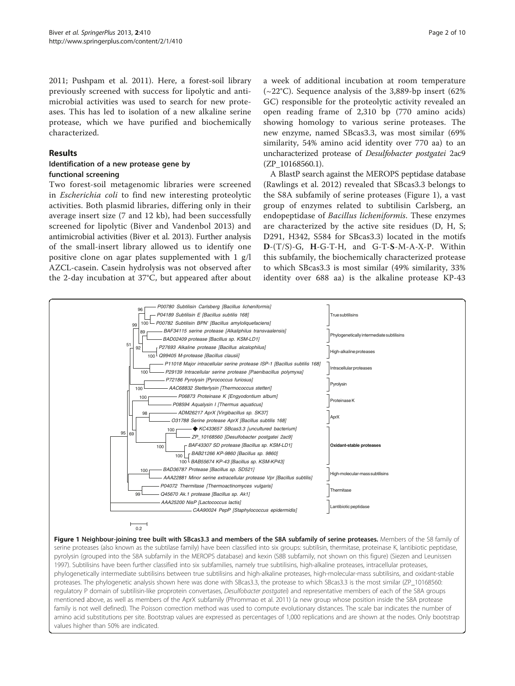[2011](#page-8-0); Pushpam et al. [2011](#page-8-0)). Here, a forest-soil library previously screened with success for lipolytic and antimicrobial activities was used to search for new proteases. This has led to isolation of a new alkaline serine protease, which we have purified and biochemically characterized.

#### Results

#### Identification of a new protease gene by functional screening

Two forest-soil metagenomic libraries were screened in Escherichia coli to find new interesting proteolytic activities. Both plasmid libraries, differing only in their average insert size (7 and 12 kb), had been successfully screened for lipolytic (Biver and Vandenbol [2013](#page-8-0)) and antimicrobial activities (Biver et al. [2013\)](#page-8-0). Further analysis of the small-insert library allowed us to identify one positive clone on agar plates supplemented with 1 g/l AZCL-casein. Casein hydrolysis was not observed after the 2-day incubation at 37°C, but appeared after about a week of additional incubation at room temperature  $(-22^{\circ}C)$ . Sequence analysis of the 3,889-bp insert (62%) GC) responsible for the proteolytic activity revealed an open reading frame of 2,310 bp (770 amino acids) showing homology to various serine proteases. The new enzyme, named SBcas3.3, was most similar (69% similarity, 54% amino acid identity over 770 aa) to an uncharacterized protease of Desulfobacter postgatei 2ac9 (ZP\_10168560.1).

A BlastP search against the MEROPS peptidase database (Rawlings et al. [2012\)](#page-9-0) revealed that SBcas3.3 belongs to the S8A subfamily of serine proteases (Figure 1), a vast group of enzymes related to subtilisin Carlsberg, an endopeptidase of Bacillus licheniformis. These enzymes are characterized by the active site residues (D, H, S; D291, H342, S584 for SBcas3.3) located in the motifs D-(T/S)-G, H-G-T-H, and G-T-S-M-A-X-P. Within this subfamily, the biochemically characterized protease to which SBcas3.3 is most similar (49% similarity, 33% identity over 688 aa) is the alkaline protease KP-43



Figure 1 Neighbour-joining tree built with SBcas3.3 and members of the S8A subfamily of serine proteases. Members of the S8 family of serine proteases (also known as the subtilase family) have been classified into six groups: subtilisin, thermitase, proteinase K, lantibiotic peptidase, pyrolysin (grouped into the S8A subfamily in the MEROPS database) and kexin (S8B subfamily, not shown on this figure) (Siezen and Leunissen [1997](#page-9-0)). Subtilisins have been further classified into six subfamilies, namely true subtilisins, high-alkaline proteases, intracellular proteases, phylogenetically intermediate subtilisins between true subtilisins and high-alkaline proteases, high-molecular-mass subtilisins, and oxidant-stable proteases. The phylogenetic analysis shown here was done with SBcas3.3, the protease to which SBcas3.3 is the most similar (ZP\_10168560: regulatory P domain of subtilisin-like proprotein convertases, Desulfobacter postgatei) and representative members of each of the S8A groups mentioned above, as well as members of the AprX subfamily (Phrommao et al. [2011](#page-8-0)) (a new group whose position inside the S8A protease family is not well defined). The Poisson correction method was used to compute evolutionary distances. The scale bar indicates the number of amino acid substitutions per site. Bootstrap values are expressed as percentages of 1,000 replications and are shown at the nodes. Only bootstrap values higher than 50% are indicated.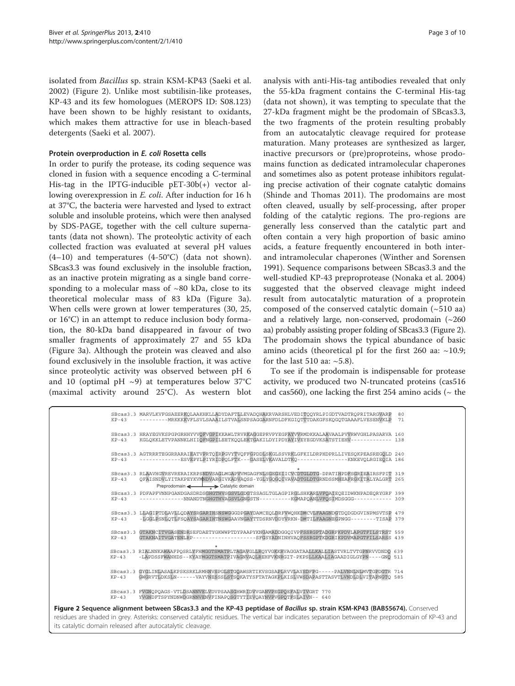isolated from Bacillus sp. strain KSM-KP43 (Saeki et al. [2002\)](#page-9-0) (Figure 2). Unlike most subtilisin-like proteases, KP-43 and its few homologues (MEROPS ID: S08.123) have been shown to be highly resistant to oxidants, which makes them attractive for use in bleach-based detergents (Saeki et al. [2007](#page-9-0)).

#### Protein overproduction in E. coli Rosetta cells

In order to purify the protease, its coding sequence was cloned in fusion with a sequence encoding a C-terminal His-tag in the IPTG-inducible pET-30b(+) vector allowing overexpression in E. coli. After induction for 16 h at 37°C, the bacteria were harvested and lysed to extract soluble and insoluble proteins, which were then analysed by SDS-PAGE, together with the cell culture supernatants (data not shown). The proteolytic activity of each collected fraction was evaluated at several pH values (4–10) and temperatures (4-50°C) (data not shown). SBcas3.3 was found exclusively in the insoluble fraction, as an inactive protein migrating as a single band corresponding to a molecular mass of  $\sim 80$  kDa, close to its theoretical molecular mass of 83 kDa (Figure [3a](#page-3-0)). When cells were grown at lower temperatures (30, 25, or 16°C) in an attempt to reduce inclusion body formation, the 80-kDa band disappeared in favour of two smaller fragments of approximately 27 and 55 kDa (Figure [3a](#page-3-0)). Although the protein was cleaved and also found exclusively in the insoluble fraction, it was active since proteolytic activity was observed between pH 6 and 10 (optimal pH  $\sim$ 9) at temperatures below 37°C (maximal activity around 25°C). As western blot

its catalytic domain released after autocatalytic cleavage.

analysis with anti-His-tag antibodies revealed that only the 55-kDa fragment contains the C-terminal His-tag (data not shown), it was tempting to speculate that the 27-kDa fragment might be the prodomain of SBcas3.3, the two fragments of the protein resulting probably from an autocatalytic cleavage required for protease maturation. Many proteases are synthesized as larger, inactive precursors or (pre)proproteins, whose prodomains function as dedicated intramolecular chaperones and sometimes also as potent protease inhibitors regulating precise activation of their cognate catalytic domains (Shinde and Thomas [2011\)](#page-9-0). The prodomains are most often cleaved, usually by self-processing, after proper folding of the catalytic regions. The pro-regions are generally less conserved than the catalytic part and often contain a very high proportion of basic amino acids, a feature frequently encountered in both interand intramolecular chaperones (Winther and Sorensen [1991](#page-9-0)). Sequence comparisons between SBcas3.3 and the well-studied KP-43 preproprotease (Nonaka et al. [2004](#page-8-0)) suggested that the observed cleavage might indeed result from autocatalytic maturation of a proprotein composed of the conserved catalytic domain  $(-510 \text{ aa})$ and a relatively large, non-conserved, prodomain  $(\sim 260$ aa) probably assisting proper folding of SBcas3.3 (Figure 2). The prodomain shows the typical abundance of basic amino acids (theoretical pI for the first 260 aa:  $~10.9$ ; for the last 510 aa:  $~5.8$ ).

To see if the prodomain is indispensable for protease activity, we produced two N-truncated proteins (cas516 and cas560), one lacking the first 254 amino acids ( $\sim$  the

| $KP-43$             | SBcas3.3 MARVLKVFGSAEERKOLAAKHKLLADYDAFTLLEVADOHAKRVARSHLVEDITOOYRLPIGDTVADTROPRITARGVARP<br>---------MRKKKKVFLSVLSAAAILSTVALSNPSAGGARNFDLDFKGIOTTTDAKGFSKOGOTGAAAFLVESENVKLP                                                                                                   | 80<br>71 |
|---------------------|---------------------------------------------------------------------------------------------------------------------------------------------------------------------------------------------------------------------------------------------------------------------------------|----------|
| $KP-43$             | SBcas3.3 HRAYEGVKSPGPGRHHYVVOFVGPIKKAWLTRVRKAGGEPRVPYEGFAYVWRMDKKALAAVAALPVWRWVGHLPASARVA 160<br>KGLOKKLETVPANNKLHIIOFNGPILEETKOOLEKTGAKILDYIPDYAYIVEYEGDVKSATSTIEHV------------ 138                                                                                            |          |
| $KP-43$             | SBcas3.3 AGTRRRTEGGRRARAIEATVPRTOIRPGVYTVOFFGPDDLSKGLSSVRKLGFKILDRPHDPRLLIVESOKPEASREGOLD 240<br>-------------ESVEPYLPIYRIDPOLFTK---GASELVKAVALDTKO----------------KNKEVOLRGIEOIA 186                                                                                           |          |
| $KP-43$             | SBcas3.3 RLAAVHGVREVRERAIKRPSNDVSAGLMGAPVVMGAGENLSGEGEIICVCDTGLDTG-DPATIHPDFSGRIEAIRSFPIT 319<br>QFAISNDVLYITAKPEYKVMNDVARGIVKADVAQSS-YGLYGQGQIVAVADTGLDTGRNDSSMHEAFRGKITALYALGRT 265<br>Preprodomain > Catalytic domain                                                        |          |
| $KP-43$             | SBcas3.3 PDFAPFVNNPGANDGASDRDSGHGTHVSGSVLGDGTSSAGLTGLAGPIRGLSHKARLVFOATEOEIDWKNPADEORYGRF 399<br>-------------NNANDTNGHGTHVAGSVLGNGSTN---------KGMAPOANLVFOSIMDSGGG----------- 309                                                                                              |          |
| $KP-43$             | SBcas3.3 LLAGIPTDLAVLLODAYSRGARIHSNSWGGGDPGAYDAMCEOLDRFVWOHKDMCVLFAAGNDGTDODGDGVINPMSVTSP 479<br>-LGGLPSNLOTLFSOAYSAGARIHTNSWGAAVNGAYTTDSRNVDDYVRKN-DMTILFAAGNEGPNGG--------TISAP 379                                                                                           |          |
| SBcas3.3<br>$KP-43$ | GTAKNCITVGASENDRSEFDAETYGKWWPTDYPAAPYKNGAMADDGGOIVPFSSRGPTADGRFKPDVLAPGTFILSTRST 559<br>GTAKNAITVGATENLRP------------------SFGSYADNINHVAOFSSRGPTKDGRIKPDVMAPGTFILSARSS 439                                                                                                      |          |
| $KP-43$             | SBcas3.3 RIALNNKAWAAFPOSRLYFHMGGTSMATPLTAGAVGLLROYVGKKRVAGGATAALLKALLIASTVRLTVTGPNRVVDNDO 639<br>-LAPDSSFWANHDS--KYAYMGGTSMATPIVAGNVAOLREHFVKNRGIT-PKPSLLKAALIAGAADIGLGYPN----GNO 511                                                                                           |          |
| $KP-43$             | SBcas3.3 GYGLINLASALKPSKSRKLRMHNVSPGLSTGOAWSRTIKVSGSAPLRVVLAYSDFPG-----PALVNNLNLMVTGPDGTR 714<br>GWGRVTLDKSLN------VAYVNESSSLSTSOKATYSFTATAGKPLKISLVWSDAPASTTASVTLVNDLDLVITAPNGTO 585                                                                                           |          |
| $KP-43$             | SBcas3.3 FVGNOPOAGS-VTLDSANNVELVDVPSAASGHWRIDVVGANVPEGPOEFALVIVGRT 770<br>YVGNDFTSPYNDNWDGRNNVENVFINAPOSGTYTIEVOAYNVPVGPOTFSLAIVN-- 640                                                                                                                                         |          |
|                     | Figure 2 Sequence alignment between SBcas3.3 and the KP-43 peptidase of Bacillus sp. strain KSM-KP43 (BAB55674). Conserved<br>residues are shaded in grey. Asterisks: conserved catalytic residues. The vertical bar indicates separation between the preprodomain of KP-43 anc |          |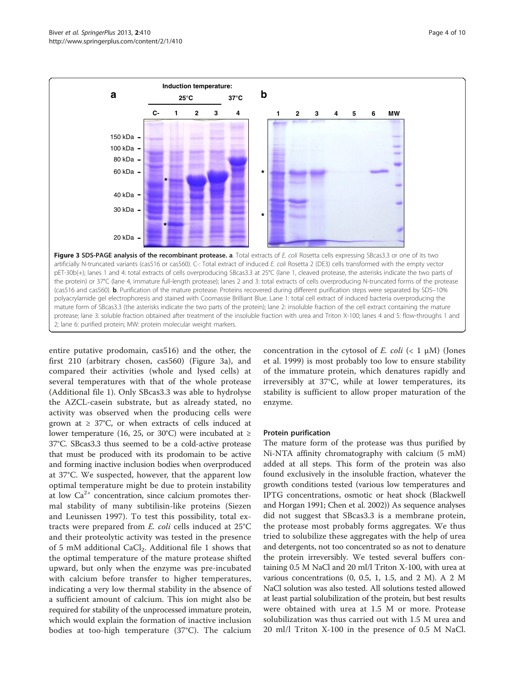<span id="page-3-0"></span>

entire putative prodomain, cas516) and the other, the first 210 (arbitrary chosen, cas560) (Figure 3a), and compared their activities (whole and lysed cells) at several temperatures with that of the whole protease (Additional file [1](#page-8-0)). Only SBcas3.3 was able to hydrolyse the AZCL-casein substrate, but as already stated, no activity was observed when the producing cells were grown at  $\geq 37^{\circ}$ C, or when extracts of cells induced at lower temperature (16, 25, or 30°C) were incubated at  $\geq$ 37°C. SBcas3.3 thus seemed to be a cold-active protease that must be produced with its prodomain to be active and forming inactive inclusion bodies when overproduced at 37°C. We suspected, however, that the apparent low optimal temperature might be due to protein instability at low  $Ca^{2+}$  concentration, since calcium promotes thermal stability of many subtilisin-like proteins (Siezen and Leunissen [1997\)](#page-9-0). To test this possibility, total extracts were prepared from E. coli cells induced at 25°C and their proteolytic activity was tested in the presence of 5 mM additional CaCl<sub>2</sub>. Additional file [1](#page-8-0) shows that the optimal temperature of the mature protease shifted upward, but only when the enzyme was pre-incubated with calcium before transfer to higher temperatures, indicating a very low thermal stability in the absence of a sufficient amount of calcium. This ion might also be required for stability of the unprocessed immature protein, which would explain the formation of inactive inclusion bodies at too-high temperature (37°C). The calcium concentration in the cytosol of E. coli (< 1  $\mu$ M) (Jones et al. [1999](#page-8-0)) is most probably too low to ensure stability of the immature protein, which denatures rapidly and irreversibly at 37°C, while at lower temperatures, its stability is sufficient to allow proper maturation of the enzyme.

#### Protein purification

The mature form of the protease was thus purified by Ni-NTA affinity chromatography with calcium (5 mM) added at all steps. This form of the protein was also found exclusively in the insoluble fraction, whatever the growth conditions tested (various low temperatures and IPTG concentrations, osmotic or heat shock (Blackwell and Horgan [1991;](#page-8-0) Chen et al. [2002](#page-8-0))) As sequence analyses did not suggest that SBcas3.3 is a membrane protein, the protease most probably forms aggregates. We thus tried to solubilize these aggregates with the help of urea and detergents, not too concentrated so as not to denature the protein irreversibly. We tested several buffers containing 0.5 M NaCl and 20 ml/l Triton X-100, with urea at various concentrations (0, 0.5, 1, 1.5, and 2 M). A 2 M NaCl solution was also tested. All solutions tested allowed at least partial solubilization of the protein, but best results were obtained with urea at 1.5 M or more. Protease solubilization was thus carried out with 1.5 M urea and 20 ml/l Triton X-100 in the presence of 0.5 M NaCl.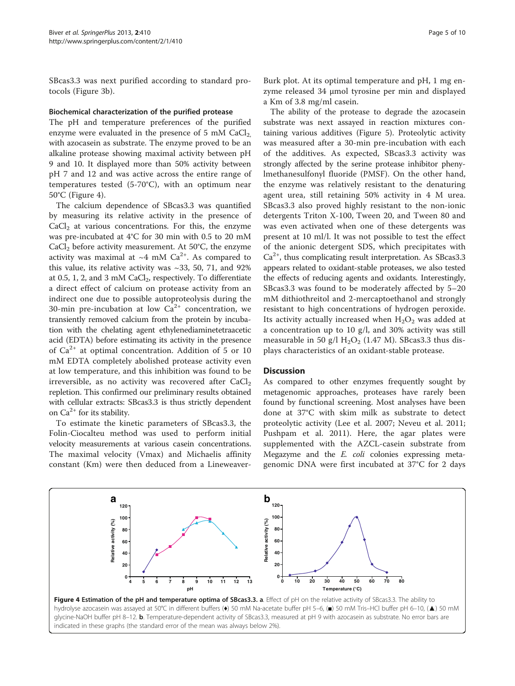SBcas3.3 was next purified according to standard protocols (Figure [3b](#page-3-0)).

#### Biochemical characterization of the purified protease

The pH and temperature preferences of the purified enzyme were evaluated in the presence of 5 mM  $CaCl<sub>2</sub>$ , with azocasein as substrate. The enzyme proved to be an alkaline protease showing maximal activity between pH 9 and 10. It displayed more than 50% activity between pH 7 and 12 and was active across the entire range of temperatures tested (5-70°C), with an optimum near 50°C (Figure 4).

The calcium dependence of SBcas3.3 was quantified by measuring its relative activity in the presence of  $CaCl<sub>2</sub>$  at various concentrations. For this, the enzyme was pre-incubated at 4°C for 30 min with 0.5 to 20 mM  $CaCl<sub>2</sub>$  before activity measurement. At 50 $°C$ , the enzyme activity was maximal at  $~4$  mM Ca<sup>2+</sup>. As compared to this value, its relative activity was  $\sim$ 33, 50, 71, and 92% at 0.5, 1, 2, and 3 mM CaCl<sub>2</sub>, respectively. To differentiate a direct effect of calcium on protease activity from an indirect one due to possible autoproteolysis during the 30-min pre-incubation at low  $Ca^{2+}$  concentration, we transiently removed calcium from the protein by incubation with the chelating agent ethylenediaminetetraacetic acid (EDTA) before estimating its activity in the presence of  $Ca^{2+}$  at optimal concentration. Addition of 5 or 10 mM EDTA completely abolished protease activity even at low temperature, and this inhibition was found to be irreversible, as no activity was recovered after  $CaCl<sub>2</sub>$ repletion. This confirmed our preliminary results obtained with cellular extracts: SBcas3.3 is thus strictly dependent on  $Ca^{2+}$  for its stability.

To estimate the kinetic parameters of SBcas3.3, the Folin-Ciocalteu method was used to perform initial velocity measurements at various casein concentrations. The maximal velocity (Vmax) and Michaelis affinity constant (Km) were then deduced from a Lineweaver-

Burk plot. At its optimal temperature and pH, 1 mg enzyme released 34 μmol tyrosine per min and displayed a Km of 3.8 mg/ml casein.

The ability of the protease to degrade the azocasein substrate was next assayed in reaction mixtures containing various additives (Figure [5\)](#page-5-0). Proteolytic activity was measured after a 30-min pre-incubation with each of the additives. As expected, SBcas3.3 activity was strongly affected by the serine protease inhibitor phenylmethanesulfonyl fluoride (PMSF). On the other hand, the enzyme was relatively resistant to the denaturing agent urea, still retaining 50% activity in 4 M urea. SBcas3.3 also proved highly resistant to the non-ionic detergents Triton X-100, Tween 20, and Tween 80 and was even activated when one of these detergents was present at 10 ml/l. It was not possible to test the effect of the anionic detergent SDS, which precipitates with  $Ca<sup>2+</sup>$ , thus complicating result interpretation. As SBcas3.3 appears related to oxidant-stable proteases, we also tested the effects of reducing agents and oxidants. Interestingly, SBcas3.3 was found to be moderately affected by 5–20 mM dithiothreitol and 2-mercaptoethanol and strongly resistant to high concentrations of hydrogen peroxide. Its activity actually increased when  $H_2O_2$  was added at a concentration up to 10 g/l, and 30% activity was still measurable in 50 g/l  $H_2O_2$  (1.47 M). SBcas3.3 thus displays characteristics of an oxidant-stable protease.

#### **Discussion**

As compared to other enzymes frequently sought by metagenomic approaches, proteases have rarely been found by functional screening. Most analyses have been done at 37°C with skim milk as substrate to detect proteolytic activity (Lee et al. [2007](#page-8-0); Neveu et al. [2011](#page-8-0); Pushpam et al. [2011](#page-8-0)). Here, the agar plates were supplemented with the AZCL-casein substrate from Megazyme and the *E. coli* colonies expressing metagenomic DNA were first incubated at 37°C for 2 days

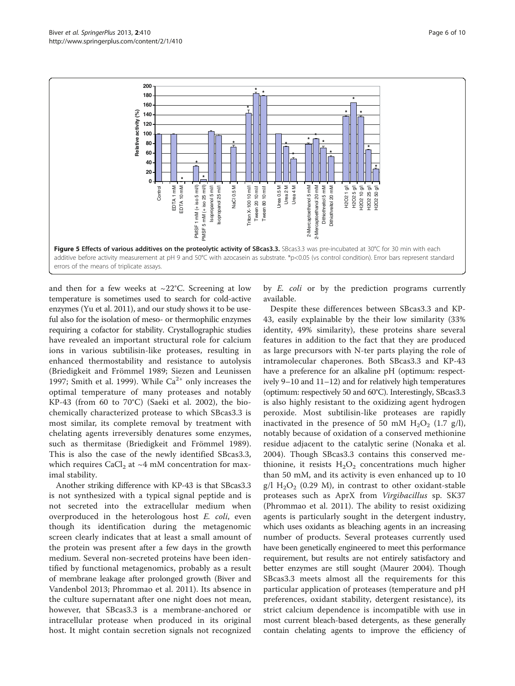<span id="page-5-0"></span>

and then for a few weeks at  $\sim$ 22°C. Screening at low temperature is sometimes used to search for cold-active enzymes (Yu et al. [2011](#page-9-0)), and our study shows it to be useful also for the isolation of meso- or thermophilic enzymes requiring a cofactor for stability. Crystallographic studies have revealed an important structural role for calcium ions in various subtilisin-like proteases, resulting in enhanced thermostability and resistance to autolysis (Briedigkeit and Frömmel [1989;](#page-8-0) Siezen and Leunissen [1997;](#page-9-0) Smith et al. [1999\)](#page-9-0). While  $Ca^{2+}$  only increases the optimal temperature of many proteases and notably KP-43 (from 60 to 70°C) (Saeki et al. [2002](#page-9-0)), the biochemically characterized protease to which SBcas3.3 is most similar, its complete removal by treatment with chelating agents irreversibly denatures some enzymes, such as thermitase (Briedigkeit and Frömmel [1989](#page-8-0)). This is also the case of the newly identified SBcas3.3, which requires  $CaCl<sub>2</sub>$  at ~4 mM concentration for maximal stability.

Another striking difference with KP-43 is that SBcas3.3 is not synthesized with a typical signal peptide and is not secreted into the extracellular medium when overproduced in the heterologous host E. coli, even though its identification during the metagenomic screen clearly indicates that at least a small amount of the protein was present after a few days in the growth medium. Several non-secreted proteins have been identified by functional metagenomics, probably as a result of membrane leakage after prolonged growth (Biver and Vandenbol [2013;](#page-8-0) Phrommao et al. [2011\)](#page-8-0). Its absence in the culture supernatant after one night does not mean, however, that SBcas3.3 is a membrane-anchored or intracellular protease when produced in its original host. It might contain secretion signals not recognized by *E. coli* or by the prediction programs currently available.

Despite these differences between SBcas3.3 and KP-43, easily explainable by the their low similarity (33% identity, 49% similarity), these proteins share several features in addition to the fact that they are produced as large precursors with N-ter parts playing the role of intramolecular chaperones. Both SBcas3.3 and KP-43 have a preference for an alkaline pH (optimum: respectively 9–10 and 11–12) and for relatively high temperatures (optimum: respectively 50 and 60°C). Interestingly, SBcas3.3 is also highly resistant to the oxidizing agent hydrogen peroxide. Most subtilisin-like proteases are rapidly inactivated in the presence of 50 mM  $H<sub>2</sub>O<sub>2</sub>$  (1.7 g/l), notably because of oxidation of a conserved methionine residue adjacent to the catalytic serine (Nonaka et al. [2004\)](#page-8-0). Though SBcas3.3 contains this conserved methionine, it resists  $H_2O_2$  concentrations much higher than 50 mM, and its activity is even enhanced up to 10  $g/I H<sub>2</sub>O<sub>2</sub>$  (0.29 M), in contrast to other oxidant-stable proteases such as AprX from Virgibacillus sp. SK37 (Phrommao et al. [2011](#page-8-0)). The ability to resist oxidizing agents is particularly sought in the detergent industry, which uses oxidants as bleaching agents in an increasing number of products. Several proteases currently used have been genetically engineered to meet this performance requirement, but results are not entirely satisfactory and better enzymes are still sought (Maurer [2004\)](#page-8-0). Though SBcas3.3 meets almost all the requirements for this particular application of proteases (temperature and pH preferences, oxidant stability, detergent resistance), its strict calcium dependence is incompatible with use in most current bleach-based detergents, as these generally contain chelating agents to improve the efficiency of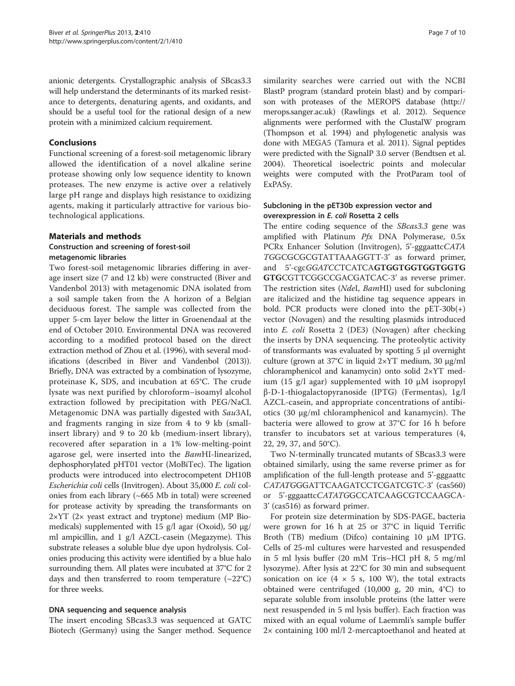anionic detergents. Crystallographic analysis of SBcas3.3 will help understand the determinants of its marked resistance to detergents, denaturing agents, and oxidants, and should be a useful tool for the rational design of a new protein with a minimized calcium requirement.

### Conclusions

Functional screening of a forest-soil metagenomic library allowed the identification of a novel alkaline serine protease showing only low sequence identity to known proteases. The new enzyme is active over a relatively large pH range and displays high resistance to oxidizing agents, making it particularly attractive for various biotechnological applications.

## Materials and methods

## Construction and screening of forest-soil metagenomic libraries

Two forest-soil metagenomic libraries differing in average insert size (7 and 12 kb) were constructed (Biver and Vandenbol [2013\)](#page-8-0) with metagenomic DNA isolated from a soil sample taken from the A horizon of a Belgian deciduous forest. The sample was collected from the upper 5-cm layer below the litter in Groenendaal at the end of October 2010. Environmental DNA was recovered according to a modified protocol based on the direct extraction method of Zhou et al. ([1996](#page-9-0)), with several modifications (described in Biver and Vandenbol [\(2013](#page-8-0))). Briefly, DNA was extracted by a combination of lysozyme, proteinase K, SDS, and incubation at 65°C. The crude lysate was next purified by chloroform–isoamyl alcohol extraction followed by precipitation with PEG/NaCl. Metagenomic DNA was partially digested with Sau3AI, and fragments ranging in size from 4 to 9 kb (smallinsert library) and 9 to 20 kb (medium-insert library), recovered after separation in a 1% low-melting-point agarose gel, were inserted into the BamHI-linearized, dephosphorylated pHT01 vector (MoBiTec). The ligation products were introduced into electrocompetent DH10B Escherichia coli cells (Invitrogen). About 35,000 E. coli colonies from each library (~665 Mb in total) were screened for protease activity by spreading the transformants on 2×YT (2× yeast extract and tryptone) medium (MP Biomedicals) supplemented with 15 g/l agar (Oxoid), 50 μg/ ml ampicillin, and 1 g/l AZCL-casein (Megazyme). This substrate releases a soluble blue dye upon hydrolysis. Colonies producing this activity were identified by a blue halo surrounding them. All plates were incubated at 37°C for 2 days and then transferred to room temperature  $(\sim 22^{\circ}C)$ for three weeks.

#### DNA sequencing and sequence analysis

The insert encoding SBcas3.3 was sequenced at GATC Biotech (Germany) using the Sanger method. Sequence

similarity searches were carried out with the NCBI BlastP program (standard protein blast) and by comparison with proteases of the MEROPS database [\(http://](http://merops.sanger.ac.uk) [merops.sanger.ac.uk](http://merops.sanger.ac.uk)) (Rawlings et al. [2012\)](#page-9-0). Sequence alignments were performed with the ClustalW program (Thompson et al. [1994](#page-9-0)) and phylogenetic analysis was done with MEGA5 (Tamura et al. [2011](#page-9-0)). Signal peptides were predicted with the SignalP 3.0 server (Bendtsen et al. [2004\)](#page-8-0). Theoretical isoelectric points and molecular weights were computed with the ProtParam tool of ExPASy.

### Subcloning in the pET30b expression vector and overexpression in E. coli Rosetta 2 cells

The entire coding sequence of the *SBcas3.3* gene was amplified with Platinum  $Pfx$  DNA Polymerase, 0.5x PCRx Enhancer Solution (Invitrogen), 5'-gggaattcCATA TGGCGCGCGTATTAAAGGTT-3' as forward primer, and 5'-cgcGGATCCTCATCAGTGGTGGTGGTGGTG GTGCGTTCGGCCGACGATCAC-3' as reverse primer. The restriction sites (NdeI, BamHI) used for subcloning are italicized and the histidine tag sequence appears in bold. PCR products were cloned into the  $pET-30b(+)$ vector (Novagen) and the resulting plasmids introduced into E. coli Rosetta 2 (DE3) (Novagen) after checking the inserts by DNA sequencing. The proteolytic activity of transformants was evaluated by spotting 5 μl overnight culture (grown at 37°C in liquid 2×YT medium, 30 μg/ml chloramphenicol and kanamycin) onto solid 2×YT medium (15 g/l agar) supplemented with 10 μM isopropyl β-D-1-thiogalactopyranoside (IPTG) (Fermentas), 1g/l AZCL-casein, and appropriate concentrations of antibiotics (30 μg/ml chloramphenicol and kanamycin). The bacteria were allowed to grow at 37°C for 16 h before transfer to incubators set at various temperatures (4, 22, 29, 37, and 50°C).

Two N-terminally truncated mutants of SBcas3.3 were obtained similarly, using the same reverse primer as for amplification of the full-length protease and 5'-gggaattc CATATGGGATTCAAGATCCTCGATCGTC-3' (cas560) or 5'-gggaattcCATATGGCCATCAAGCGTCCAAGCA-3' (cas516) as forward primer.

For protein size determination by SDS-PAGE, bacteria were grown for 16 h at 25 or 37°C in liquid Terrific Broth (TB) medium (Difco) containing 10 μM IPTG. Cells of 25-ml cultures were harvested and resuspended in 5 ml lysis buffer (20 mM Tris–HCl pH 8, 5 mg/ml lysozyme). After lysis at 22°C for 30 min and subsequent sonication on ice (4  $\times$  5 s, 100 W), the total extracts obtained were centrifuged (10,000 g, 20 min, 4°C) to separate soluble from insoluble proteins (the latter were next resuspended in 5 ml lysis buffer). Each fraction was mixed with an equal volume of Laemmli's sample buffer 2× containing 100 ml/l 2-mercaptoethanol and heated at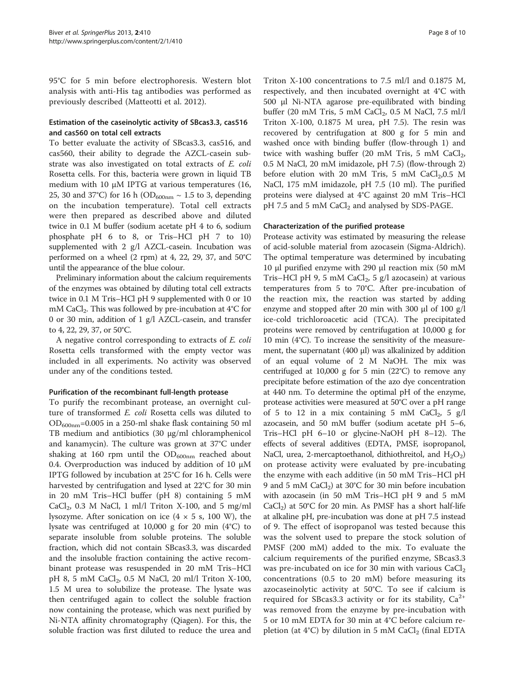95°C for 5 min before electrophoresis. Western blot analysis with anti-His tag antibodies was performed as previously described (Matteotti et al. [2012](#page-8-0)).

## Estimation of the caseinolytic activity of SBcas3.3, cas516 and cas560 on total cell extracts

To better evaluate the activity of SBcas3.3, cas516, and cas560, their ability to degrade the AZCL-casein substrate was also investigated on total extracts of E. coli Rosetta cells. For this, bacteria were grown in liquid TB medium with 10 μM IPTG at various temperatures (16, 25, 30 and 37°C) for 16 h (OD<sub>600nm</sub>  $\sim$  1.5 to 3, depending on the incubation temperature). Total cell extracts were then prepared as described above and diluted twice in 0.1 M buffer (sodium acetate pH 4 to 6, sodium phosphate pH 6 to 8, or Tris–HCl pH 7 to 10) supplemented with 2 g/l AZCL-casein. Incubation was performed on a wheel (2 rpm) at 4, 22, 29, 37, and 50°C until the appearance of the blue colour.

Preliminary information about the calcium requirements of the enzymes was obtained by diluting total cell extracts twice in 0.1 M Tris–HCl pH 9 supplemented with 0 or 10 mM CaCl<sub>2</sub>. This was followed by pre-incubation at 4°C for 0 or 30 min, addition of 1 g/l AZCL-casein, and transfer to 4, 22, 29, 37, or 50°C.

A negative control corresponding to extracts of E. coli Rosetta cells transformed with the empty vector was included in all experiments. No activity was observed under any of the conditions tested.

#### Purification of the recombinant full-length protease

To purify the recombinant protease, an overnight culture of transformed E. coli Rosetta cells was diluted to OD600nm=0.005 in a 250-ml shake flask containing 50 ml TB medium and antibiotics (30 μg/ml chloramphenicol and kanamycin). The culture was grown at 37°C under shaking at 160 rpm until the  $OD_{600nm}$  reached about 0.4. Overproduction was induced by addition of 10 μM IPTG followed by incubation at 25°C for 16 h. Cells were harvested by centrifugation and lysed at 22°C for 30 min in 20 mM Tris–HCl buffer (pH 8) containing 5 mM CaCl<sub>2</sub>, 0.3 M NaCl, 1 ml/l Triton X-100, and 5 mg/ml lysozyme. After sonication on ice  $(4 \times 5 \text{ s}, 100 \text{ W})$ , the lysate was centrifuged at 10,000 g for 20 min (4°C) to separate insoluble from soluble proteins. The soluble fraction, which did not contain SBcas3.3, was discarded and the insoluble fraction containing the active recombinant protease was resuspended in 20 mM Tris–HCl pH 8, 5 mM CaCl<sub>2</sub>, 0.5 M NaCl, 20 ml/l Triton X-100, 1.5 M urea to solubilize the protease. The lysate was then centrifuged again to collect the soluble fraction now containing the protease, which was next purified by Ni-NTA affinity chromatography (Qiagen). For this, the soluble fraction was first diluted to reduce the urea and

Triton X-100 concentrations to 7.5 ml/l and 0.1875 M, respectively, and then incubated overnight at 4°C with 500 μl Ni-NTA agarose pre-equilibrated with binding buffer (20 mM Tris, 5 mM CaCl<sub>2</sub>, 0.5 M NaCl, 7.5 ml/l Triton X-100, 0.1875 M urea, pH 7.5). The resin was recovered by centrifugation at 800 g for 5 min and washed once with binding buffer (flow-through 1) and twice with washing buffer (20 mM Tris, 5 mM  $CaCl<sub>2</sub>$ , 0.5 M NaCl, 20 mM imidazole, pH 7.5) (flow-through 2) before elution with 20 mM Tris, 5 mM  $CaCl<sub>2</sub>$ , 0.5 M NaCl, 175 mM imidazole, pH 7.5 (10 ml). The purified proteins were dialysed at 4°C against 20 mM Tris–HCl  $pH$  7.5 and 5 mM CaCl<sub>2</sub> and analysed by SDS-PAGE.

#### Characterization of the purified protease

Protease activity was estimated by measuring the release of acid-soluble material from azocasein (Sigma-Aldrich). The optimal temperature was determined by incubating 10 μl purified enzyme with 290 μl reaction mix (50 mM Tris–HCl pH 9, 5 mM CaCl<sub>2</sub>, 5 g/l azocasein) at various temperatures from 5 to 70°C. After pre-incubation of the reaction mix, the reaction was started by adding enzyme and stopped after 20 min with 300 μl of 100 g/l ice-cold trichloroacetic acid (TCA). The precipitated proteins were removed by centrifugation at 10,000 g for 10 min (4°C). To increase the sensitivity of the measurement, the supernatant (400 μl) was alkalinized by addition of an equal volume of 2 M NaOH. The mix was centrifuged at  $10,000$  g for 5 min  $(22^{\circ}C)$  to remove any precipitate before estimation of the azo dye concentration at 440 nm. To determine the optimal pH of the enzyme, protease activities were measured at 50°C over a pH range of 5 to 12 in a mix containing 5 mM CaCl<sub>2</sub>, 5 g/l azocasein, and 50 mM buffer (sodium acetate pH 5–6, Tris–HCl pH 6–10 or glycine-NaOH pH 8–12). The effects of several additives (EDTA, PMSF, isopropanol, NaCl, urea, 2-mercaptoethanol, dithiothreitol, and  $H_2O_2$ ) on protease activity were evaluated by pre-incubating the enzyme with each additive (in 50 mM Tris–HCl pH 9 and 5 mM  $CaCl<sub>2</sub>$ ) at 30°C for 30 min before incubation with azocasein (in 50 mM Tris–HCl pH 9 and 5 mM  $CaCl<sub>2</sub>$ ) at 50°C for 20 min. As PMSF has a short half-life at alkaline pH, pre-incubation was done at pH 7.5 instead of 9. The effect of isopropanol was tested because this was the solvent used to prepare the stock solution of PMSF (200 mM) added to the mix. To evaluate the calcium requirements of the purified enzyme, SBcas3.3 was pre-incubated on ice for 30 min with various  $CaCl<sub>2</sub>$ concentrations (0.5 to 20 mM) before measuring its azocaseinolytic activity at 50°C. To see if calcium is required for SBcas3.3 activity or for its stability,  $Ca^{2+}$ was removed from the enzyme by pre-incubation with 5 or 10 mM EDTA for 30 min at 4°C before calcium repletion (at  $4^{\circ}$ C) by dilution in 5 mM CaCl<sub>2</sub> (final EDTA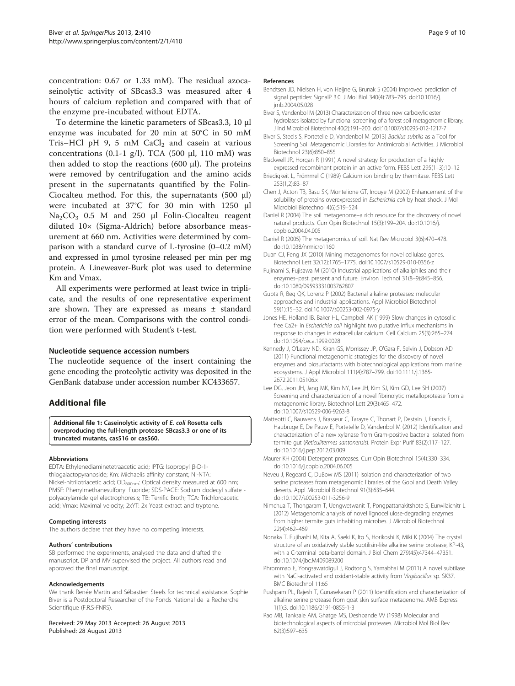<span id="page-8-0"></span>concentration: 0.67 or 1.33 mM). The residual azocaseinolytic activity of SBcas3.3 was measured after 4 hours of calcium repletion and compared with that of the enzyme pre-incubated without EDTA.

To determine the kinetic parameters of SBcas3.3, 10 μl enzyme was incubated for 20 min at 50°C in 50 mM Tris–HCl pH 9, 5 mM  $CaCl<sub>2</sub>$  and casein at various concentrations (0.1-1 g/l). TCA (500  $\mu$ l, 110 mM) was then added to stop the reactions (600 μl). The proteins were removed by centrifugation and the amino acids present in the supernatants quantified by the Folin-Ciocalteu method. For this, the supernatants (500 μl) were incubated at 37°C for 30 min with 1250 μl Na2CO3 0.5 M and 250 μl Folin-Ciocalteu reagent diluted 10× (Sigma-Aldrich) before absorbance measurement at 660 nm. Activities were determined by comparison with a standard curve of L-tyrosine (0–0.2 mM) and expressed in μmol tyrosine released per min per mg protein. A Lineweaver-Burk plot was used to determine Km and Vmax.

All experiments were performed at least twice in triplicate, and the results of one representative experiment are shown. They are expressed as means ± standard error of the mean. Comparisons with the control condition were performed with Student's t-test.

#### Nucleotide sequence accession numbers

The nucleotide sequence of the insert containing the gene encoding the proteolytic activity was deposited in the GenBank database under accession number KC433657.

#### Additional file

[Additional file 1:](http://www.biomedcentral.com/content/supplementary/2193-1801-2-410-S1.pdf) Caseinolytic activity of E. coli Rosetta cells overproducing the full-length protease SBcas3.3 or one of its truncated mutants, cas516 or cas560.

#### Abbreviations

EDTA: Ethylenediaminetetraacetic acid; IPTG: Isopropyl β-D-1 thiogalactopyranoside; Km: Michaelis affinity constant; Ni-NTA: Nickel-nitrilotriacetic acid; OD<sub>600nm</sub>: Optical density measured at 600 nm; PMSF: Phenylmethanesulfonyl fluoride; SDS-PAGE: Sodium dodecyl sulfate polyacrylamide gel electrophoresis; TB: Terrific Broth; TCA: Trichloroacetic acid; Vmax: Maximal velocity; 2xYT: 2x Yeast extract and tryptone.

#### Competing interests

The authors declare that they have no competing interests.

#### Authors' contributions

SB performed the experiments, analysed the data and drafted the manuscript. DP and MV supervised the project. All authors read and approved the final manuscript.

#### Acknowledgements

We thank Renée Martin and Sébastien Steels for technical assistance. Sophie Biver is a Postdoctoral Researcher of the Fonds National de la Recherche Scientifique (F.R.S-FNRS).

Received: 29 May 2013 Accepted: 26 August 2013 Published: 28 August 2013

#### References

- Bendtsen JD, Nielsen H, von Heijne G, Brunak S (2004) Improved prediction of signal peptides: SignalP 3.0. J Mol Biol 340(4):783–795. doi[:10.1016/j.](http://dx.doi.org/10.1016/j.jmb.2004.05.028) [jmb.2004.05.028](http://dx.doi.org/10.1016/j.jmb.2004.05.028)
- Biver S, Vandenbol M (2013) Characterization of three new carboxylic ester hydrolases isolated by functional screening of a forest soil metagenomic library. J Ind Microbiol Biotechnol 40(2):191–200. doi[:10.1007/s10295-012-1217-7](http://dx.doi.org/10.1007/s10295-012-1217-7)
- Biver S, Steels S, Portetelle D, Vandenbol M (2013) Bacillus subtilis as a Tool for Screening Soil Metagenomic Libraries for Antimicrobial Activities. J Microbiol Biotechnol 23(6):850–855
- Blackwell JR, Horgan R (1991) A novel strategy for production of a highly expressed recombinant protein in an active form. FEBS Lett 295(1–3):10–12
- Briedigkeit L, Frömmel C (1989) Calcium ion binding by thermitase. FEBS Lett 253(1,2):83–87
- Chen J, Acton TB, Basu SK, Montelione GT, Inouye M (2002) Enhancement of the solubility of proteins overexpressed in Escherichia coli by heat shock. J Mol Microbiol Biotechnol 4(6):519–524
- Daniel R (2004) The soil metagenome–a rich resource for the discovery of novel natural products. Curr Opin Biotechnol 15(3):199–204. doi[:10.1016/j.](http://dx.doi.org/10.1016/j.copbio.2004.04.005) [copbio.2004.04.005](http://dx.doi.org/10.1016/j.copbio.2004.04.005)
- Daniel R (2005) The metagenomics of soil. Nat Rev Microbiol 3(6):470–478. doi[:10.1038/nrmicro1160](http://dx.doi.org/10.1038/nrmicro1160)
- Duan CJ, Feng JX (2010) Mining metagenomes for novel cellulase genes. Biotechnol Lett 32(12):1765–1775. doi[:10.1007/s10529-010-0356-z](http://dx.doi.org/10.1007/s10529-010-0356-z)
- Fujinami S, Fujisawa M (2010) Industrial applications of alkaliphiles and their enzymes–past, present and future. Environ Technol 31(8–9):845–856. doi[:10.1080/09593331003762807](http://dx.doi.org/10.1080/09593331003762807)
- Gupta R, Beg QK, Lorenz P (2002) Bacterial alkaline proteases: molecular approaches and industrial applications. Appl Microbiol Biotechnol 59(1):15–32. doi:[10.1007/s00253-002-0975-y](http://dx.doi.org/10.1007/s00253-002-0975-y)
- Jones HE, Holland IB, Baker HL, Campbell AK (1999) Slow changes in cytosolic free Ca2+ in Escherichia coli highlight two putative influx mechanisms in response to changes in extracellular calcium. Cell Calcium 25(3):265–274. doi[:10.1054/ceca.1999.0028](http://dx.doi.org/10.1054/ceca.1999.0028)
- Kennedy J, O'Leary ND, Kiran GS, Morrissey JP, O'Gara F, Selvin J, Dobson AD (2011) Functional metagenomic strategies for the discovery of novel enzymes and biosurfactants with biotechnological applications from marine ecosystems. J Appl Microbiol 111(4):787–799. doi:[10.1111/j.1365-](http://dx.doi.org/10.1111/j.1365-2672.2011.05106.x) [2672.2011.05106.x](http://dx.doi.org/10.1111/j.1365-2672.2011.05106.x)
- Lee DG, Jeon JH, Jang MK, Kim NY, Lee JH, Kim SJ, Kim GD, Lee SH (2007) Screening and characterization of a novel fibrinolytic metalloprotease from a metagenomic library. Biotechnol Lett 29(3):465–472. doi[:10.1007/s10529-006-9263-8](http://dx.doi.org/10.1007/s10529-006-9263-8)
- Matteotti C, Bauwens J, Brasseur C, Tarayre C, Thonart P, Destain J, Francis F, Haubruge E, De Pauw E, Portetelle D, Vandenbol M (2012) Identification and characterization of a new xylanase from Gram-positive bacteria isolated from termite gut (Reticulitermes santonensis). Protein Expr Purif 83(2):117–127. doi[:10.1016/j.pep.2012.03.009](http://dx.doi.org/10.1016/j.pep.2012.03.009)
- Maurer KH (2004) Detergent proteases. Curr Opin Biotechnol 15(4):330–334. doi[:10.1016/j.copbio.2004.06.005](http://dx.doi.org/10.1016/j.copbio.2004.06.005)
- Neveu J, Regeard C, DuBow MS (2011) Isolation and characterization of two serine proteases from metagenomic libraries of the Gobi and Death Valley deserts. Appl Microbiol Biotechnol 91(3):635–644. doi[:10.1007/s00253-011-3256-9](http://dx.doi.org/10.1007/s00253-011-3256-9)
- Nimchua T, Thongaram T, Uengwetwanit T, Pongpattanakitshote S, Eurwilaichitr L (2012) Metagenomic analysis of novel lignocellulose-degrading enzymes from higher termite guts inhabiting microbes. J Microbiol Biotechnol 22(4):462–469
- Nonaka T, Fujihashi M, Kita A, Saeki K, Ito S, Horikoshi K, Miki K (2004) The crystal structure of an oxidatively stable subtilisin-like alkaline serine protease, KP-43, with a C-terminal beta-barrel domain. J Biol Chem 279(45):47344–47351. doi[:10.1074/jbc.M409089200](http://dx.doi.org/10.1074/jbc.M409089200)
- Phrommao E, Yongsawatdigul J, Rodtong S, Yamabhai M (2011) A novel subtilase with NaCl-activated and oxidant-stable activity from Virgibacillus sp. SK37. BMC Biotechnol 11:65
- Pushpam PL, Rajesh T, Gunasekaran P (2011) Identification and characterization of alkaline serine protease from goat skin surface metagenome. AMB Express 1(1):3. doi[:10.1186/2191-0855-1-3](http://dx.doi.org/10.1186/2191-0855-1-3)
- Rao MB, Tanksale AM, Ghatge MS, Deshpande VV (1998) Molecular and biotechnological aspects of microbial proteases. Microbiol Mol Biol Rev 62(3):597–635